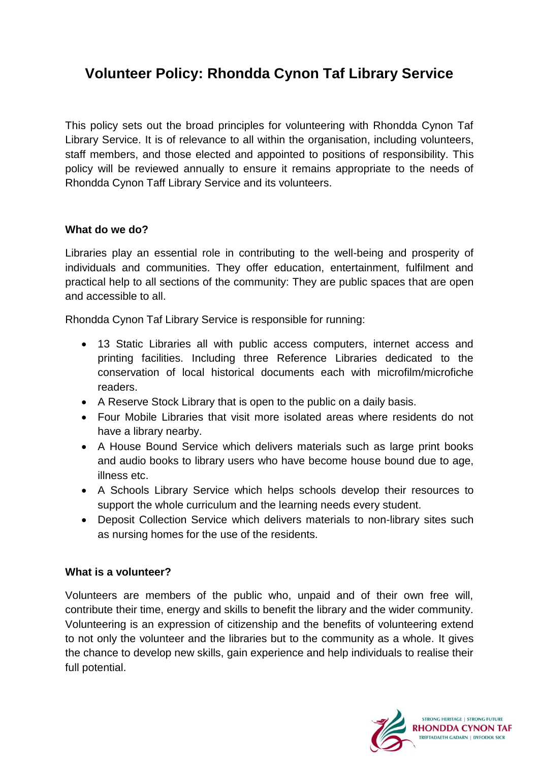# **Volunteer Policy: Rhondda Cynon Taf Library Service**

This policy sets out the broad principles for volunteering with Rhondda Cynon Taf Library Service. It is of relevance to all within the organisation, including volunteers, staff members, and those elected and appointed to positions of responsibility. This policy will be reviewed annually to ensure it remains appropriate to the needs of Rhondda Cynon Taff Library Service and its volunteers.

#### **What do we do?**

Libraries play an essential role in contributing to the well-being and prosperity of individuals and communities. They offer education, entertainment, fulfilment and practical help to all sections of the community: They are public spaces that are open and accessible to all.

Rhondda Cynon Taf Library Service is responsible for running:

- 13 Static Libraries all with public access computers, internet access and printing facilities. Including three Reference Libraries dedicated to the conservation of local historical documents each with microfilm/microfiche readers.
- A Reserve Stock Library that is open to the public on a daily basis.
- Four Mobile Libraries that visit more isolated areas where residents do not have a library nearby.
- A House Bound Service which delivers materials such as large print books and audio books to library users who have become house bound due to age, illness etc.
- A Schools Library Service which helps schools develop their resources to support the whole curriculum and the learning needs every student.
- Deposit Collection Service which delivers materials to non-library sites such as nursing homes for the use of the residents.

## **What is a volunteer?**

Volunteers are members of the public who, unpaid and of their own free will, contribute their time, energy and skills to benefit the library and the wider community. Volunteering is an expression of citizenship and the benefits of volunteering extend to not only the volunteer and the libraries but to the community as a whole. It gives the chance to develop new skills, gain experience and help individuals to realise their full potential.

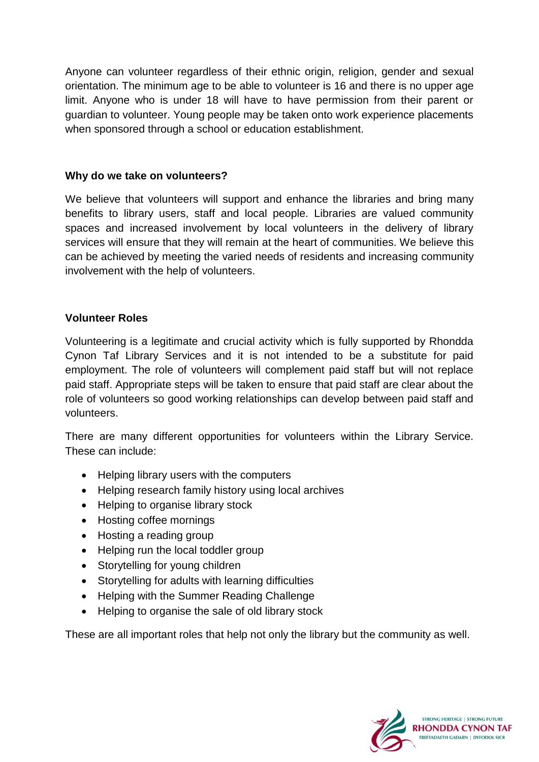Anyone can volunteer regardless of their ethnic origin, religion, gender and sexual orientation. The minimum age to be able to volunteer is 16 and there is no upper age limit. Anyone who is under 18 will have to have permission from their parent or guardian to volunteer. Young people may be taken onto work experience placements when sponsored through a school or education establishment.

#### **Why do we take on volunteers?**

We believe that volunteers will support and enhance the libraries and bring many benefits to library users, staff and local people. Libraries are valued community spaces and increased involvement by local volunteers in the delivery of library services will ensure that they will remain at the heart of communities. We believe this can be achieved by meeting the varied needs of residents and increasing community involvement with the help of volunteers.

## **Volunteer Roles**

Volunteering is a legitimate and crucial activity which is fully supported by Rhondda Cynon Taf Library Services and it is not intended to be a substitute for paid employment. The role of volunteers will complement paid staff but will not replace paid staff. Appropriate steps will be taken to ensure that paid staff are clear about the role of volunteers so good working relationships can develop between paid staff and volunteers.

There are many different opportunities for volunteers within the Library Service. These can include:

- Helping library users with the computers
- Helping research family history using local archives
- Helping to organise library stock
- Hosting coffee mornings
- Hosting a reading group
- Helping run the local toddler group
- Storytelling for young children
- Storytelling for adults with learning difficulties
- Helping with the Summer Reading Challenge
- Helping to organise the sale of old library stock

These are all important roles that help not only the library but the community as well.

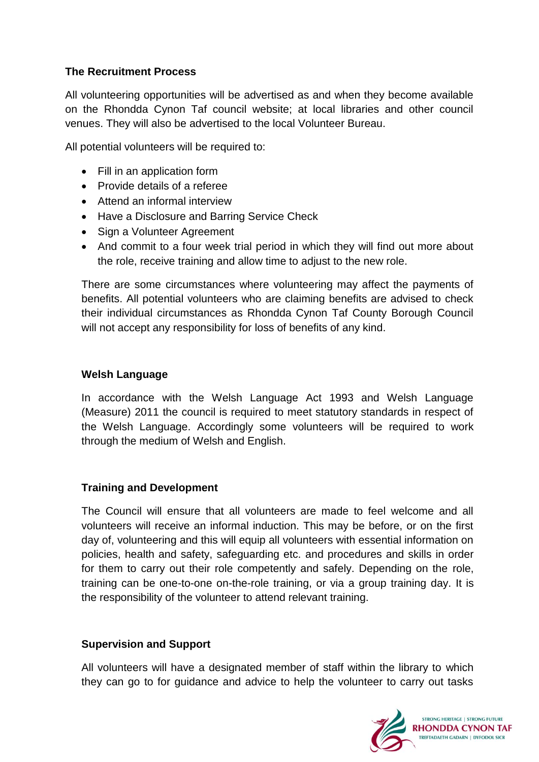# **The Recruitment Process**

All volunteering opportunities will be advertised as and when they become available on the Rhondda Cynon Taf council website; at local libraries and other council venues. They will also be advertised to the local Volunteer Bureau.

All potential volunteers will be required to:

- Fill in an application form
- Provide details of a referee
- Attend an informal interview
- Have a Disclosure and Barring Service Check
- Sign a Volunteer Agreement
- And commit to a four week trial period in which they will find out more about the role, receive training and allow time to adjust to the new role.

There are some circumstances where volunteering may affect the payments of benefits. All potential volunteers who are claiming benefits are advised to check their individual circumstances as Rhondda Cynon Taf County Borough Council will not accept any responsibility for loss of benefits of any kind.

#### **Welsh Language**

In accordance with the Welsh Language Act 1993 and Welsh Language (Measure) 2011 the council is required to meet statutory standards in respect of the Welsh Language. Accordingly some volunteers will be required to work through the medium of Welsh and English.

## **Training and Development**

The Council will ensure that all volunteers are made to feel welcome and all volunteers will receive an informal induction. This may be before, or on the first day of, volunteering and this will equip all volunteers with essential information on policies, health and safety, safeguarding etc. and procedures and skills in order for them to carry out their role competently and safely. Depending on the role, training can be one-to-one on-the-role training, or via a group training day. It is the responsibility of the volunteer to attend relevant training.

## **Supervision and Support**

All volunteers will have a designated member of staff within the library to which they can go to for guidance and advice to help the volunteer to carry out tasks

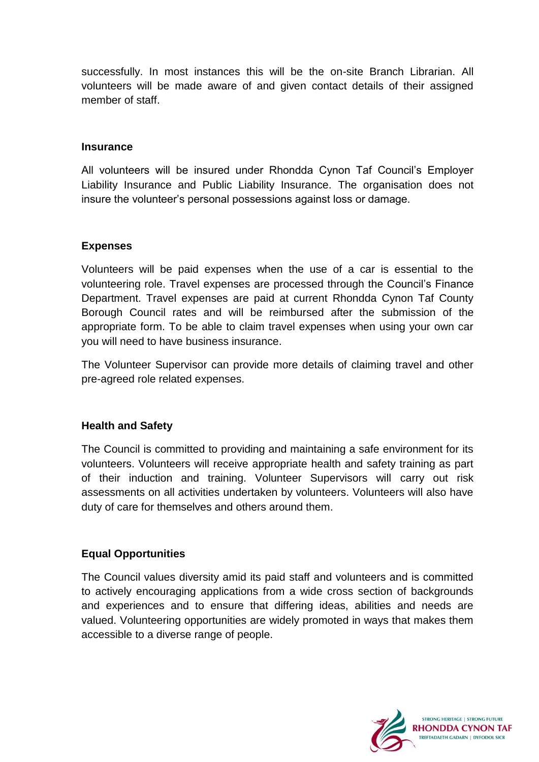successfully. In most instances this will be the on-site Branch Librarian. All volunteers will be made aware of and given contact details of their assigned member of staff.

#### **Insurance**

All volunteers will be insured under Rhondda Cynon Taf Council's Employer Liability Insurance and Public Liability Insurance. The organisation does not insure the volunteer's personal possessions against loss or damage.

## **Expenses**

Volunteers will be paid expenses when the use of a car is essential to the volunteering role. Travel expenses are processed through the Council's Finance Department. Travel expenses are paid at current Rhondda Cynon Taf County Borough Council rates and will be reimbursed after the submission of the appropriate form. To be able to claim travel expenses when using your own car you will need to have business insurance.

The Volunteer Supervisor can provide more details of claiming travel and other pre-agreed role related expenses.

## **Health and Safety**

The Council is committed to providing and maintaining a safe environment for its volunteers. Volunteers will receive appropriate health and safety training as part of their induction and training. Volunteer Supervisors will carry out risk assessments on all activities undertaken by volunteers. Volunteers will also have duty of care for themselves and others around them.

## **Equal Opportunities**

The Council values diversity amid its paid staff and volunteers and is committed to actively encouraging applications from a wide cross section of backgrounds and experiences and to ensure that differing ideas, abilities and needs are valued. Volunteering opportunities are widely promoted in ways that makes them accessible to a diverse range of people.

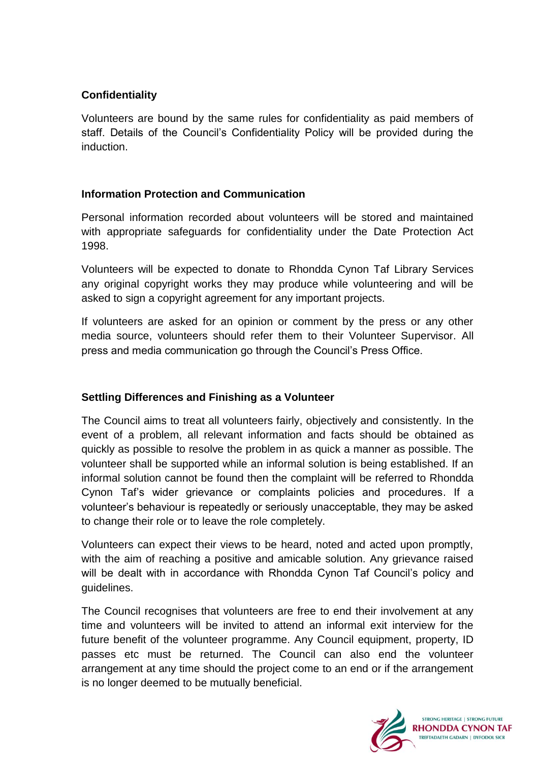# **Confidentiality**

Volunteers are bound by the same rules for confidentiality as paid members of staff. Details of the Council's Confidentiality Policy will be provided during the induction.

## **Information Protection and Communication**

Personal information recorded about volunteers will be stored and maintained with appropriate safeguards for confidentiality under the Date Protection Act 1998.

Volunteers will be expected to donate to Rhondda Cynon Taf Library Services any original copyright works they may produce while volunteering and will be asked to sign a copyright agreement for any important projects.

If volunteers are asked for an opinion or comment by the press or any other media source, volunteers should refer them to their Volunteer Supervisor. All press and media communication go through the Council's Press Office.

## **Settling Differences and Finishing as a Volunteer**

The Council aims to treat all volunteers fairly, objectively and consistently. In the event of a problem, all relevant information and facts should be obtained as quickly as possible to resolve the problem in as quick a manner as possible. The volunteer shall be supported while an informal solution is being established. If an informal solution cannot be found then the complaint will be referred to Rhondda Cynon Taf's wider grievance or complaints policies and procedures. If a volunteer's behaviour is repeatedly or seriously unacceptable, they may be asked to change their role or to leave the role completely.

Volunteers can expect their views to be heard, noted and acted upon promptly, with the aim of reaching a positive and amicable solution. Any grievance raised will be dealt with in accordance with Rhondda Cynon Taf Council's policy and guidelines.

The Council recognises that volunteers are free to end their involvement at any time and volunteers will be invited to attend an informal exit interview for the future benefit of the volunteer programme. Any Council equipment, property, ID passes etc must be returned. The Council can also end the volunteer arrangement at any time should the project come to an end or if the arrangement is no longer deemed to be mutually beneficial.